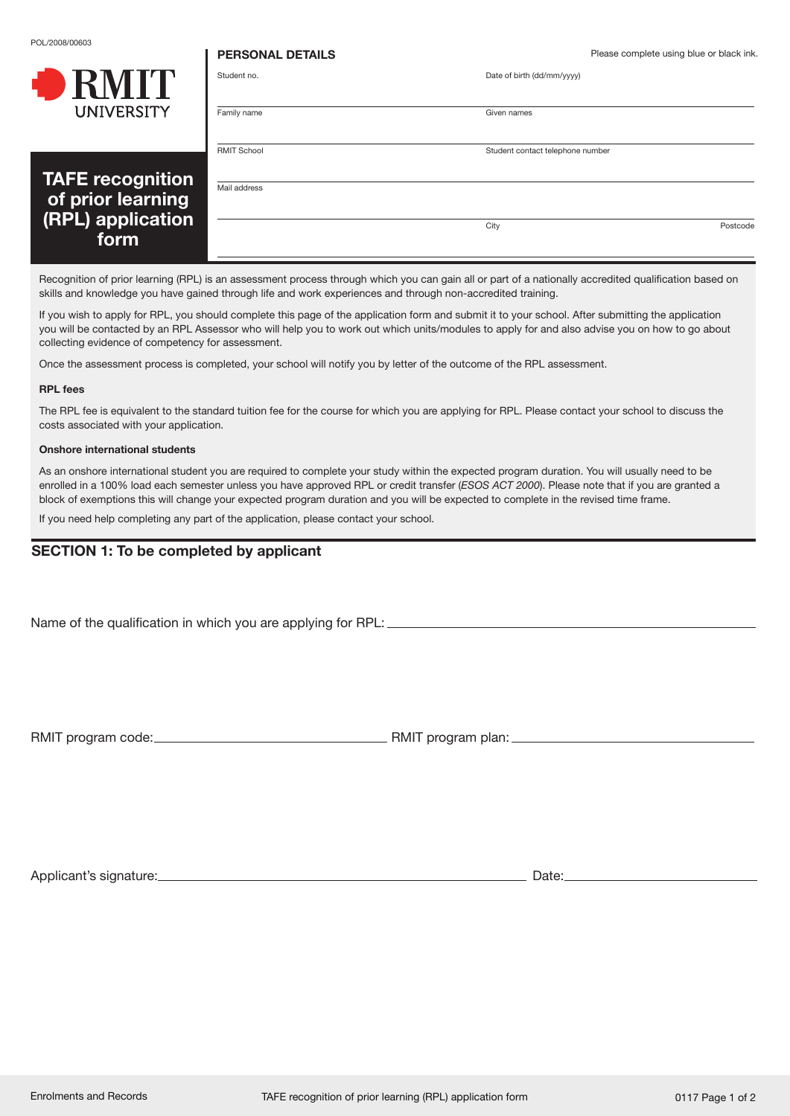POL/2008/00603

**. .** *.* **. .** 

**PERSONAL DETAILS** Please complete using blue or black ink.

|                                        | Student no.        | Date of birth (dd/mm/yyyy)       |
|----------------------------------------|--------------------|----------------------------------|
| <b>UNIVERSITY</b>                      | Family name        | Given names                      |
| <b>TAFE recognition</b>                | <b>RMIT School</b> | Student contact telephone number |
| of prior learning<br>(RPL) application | Mail address       |                                  |
| form                                   |                    | City<br>Postcode                 |

Recognition of prior learning (RPL) is an assessment process through which you can gain all or part of a nationally accredited qualification based on skills and knowledge you have gained through life and work experiences and through non-accredited training.

If you wish to apply for RPL, you should complete this page of the application form and submit it to your school. After submitting the application you will be contacted by an RPL Assessor who will help you to work out which units/modules to apply for and also advise you on how to go about collecting evidence of competency for assessment.

Once the assessment process is completed, your school will notify you by letter of the outcome of the RPL assessment.

## **RPL fees**

The RPL fee is equivalent to the standard tuition fee for the course for which you are applying for RPL. Please contact your school to discuss the costs associated with your application.

## **Onshore international students**

As an onshore international student you are required to complete your study within the expected program duration. You will usually need to be enrolled in a 100% load each semester unless you have approved RPL or credit transfer (*ESOS ACT 2000*). Please note that if you are granted a block of exemptions this will change your expected program duration and you will be expected to complete in the revised time frame.

If you need help completing any part of the application, please contact your school.

# **SECTION 1: To be completed by applicant**

Name of the qualification in which you are applying for RPL:

RMIT program code: RMIT program plan:

Applicant's signature: Date: Date: Date: Date: Date: Date: Date: Date: Date: Date: Date: Date: Date: Date: Date: Date: Date: Date: Date: Date: Date: Date: Date: Date: Date: Date: Date: Date: Date: Date: Date: Date: Date: D